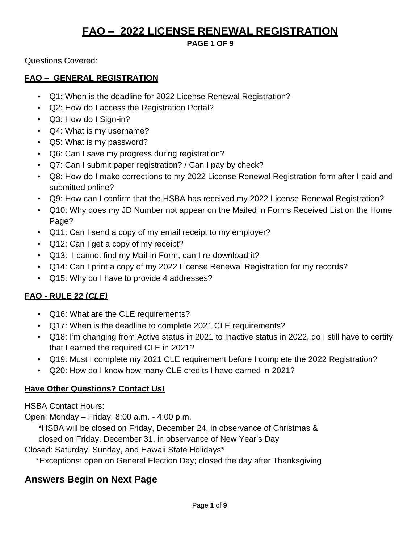### **PAGE 1 OF 9**

Questions Covered:

### **FAQ – GENERAL REGISTRATION**

- Q1: When is the deadline for 2022 License Renewal Registration?
- Q2: How do I access the Registration Portal?
- Q3: How do I Sign-in?
- Q4: What is my username?
- Q5: What is my password?
- Q6: Can I save my progress during registration?
- Q7: Can I submit paper registration? / Can I pay by check?
- Q8: How do I make corrections to my 2022 License Renewal Registration form after I paid and submitted online?
- Q9: How can I confirm that the HSBA has received my 2022 License Renewal Registration?
- Q10: Why does my JD Number not appear on the Mailed in Forms Received List on the Home Page?
- Q11: Can I send a copy of my email receipt to my employer?
- Q12: Can I get a copy of my receipt?
- Q13: I cannot find my Mail-in Form, can I re-download it?
- Q14: Can I print a copy of my 2022 License Renewal Registration for my records?
- Q15: Why do I have to provide 4 addresses?

### **FAQ - RULE 22 (***CLE)*

- Q16: What are the CLE requirements?
- Q17: When is the deadline to complete 2021 CLE requirements?
- Q18: I'm changing from Active status in 2021 to Inactive status in 2022, do I still have to certify that I earned the required CLE in 2021?
- Q19: Must I complete my 2021 CLE requirement before I complete the 2022 Registration?
- Q20: How do I know how many CLE credits I have earned in 2021?

### **Have Other Questions? Contact Us!**

HSBA Contact Hours:

Open: Monday – Friday, 8:00 a.m. - 4:00 p.m.

\*HSBA will be closed on Friday, December 24, in observance of Christmas & closed on Friday, December 31, in observance of New Year's Day

Closed: Saturday, Sunday, and Hawaii State Holidays\*

\*Exceptions: open on General Election Day; closed the day after Thanksgiving

## **Answers Begin on Next Page**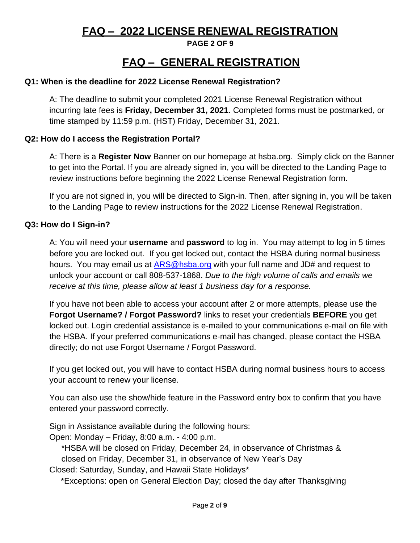**PAGE 2 OF 9**

# **FAQ – GENERAL REGISTRATION**

### **Q1: When is the deadline for 2022 License Renewal Registration?**

A: The deadline to submit your completed 2021 License Renewal Registration without incurring late fees is **Friday, December 31, 2021**. Completed forms must be postmarked, or time stamped by 11:59 p.m. (HST) Friday, December 31, 2021.

### **Q2: How do I access the Registration Portal?**

A: There is a **Register Now** Banner on our homepage at hsba.org. Simply click on the Banner to get into the Portal. If you are already signed in, you will be directed to the Landing Page to review instructions before beginning the 2022 License Renewal Registration form.

If you are not signed in, you will be directed to Sign-in. Then, after signing in, you will be taken to the Landing Page to review instructions for the 2022 License Renewal Registration.

### **Q3: How do I Sign-in?**

A: You will need your **username** and **password** to log in. You may attempt to log in 5 times before you are locked out. If you get locked out, contact the HSBA during normal business hours. You may email us at [ARS@hsba.org](mailto:ARS@hsba.org) with your full name and JD# and request to unlock your account or call 808-537-1868. *Due to the high volume of calls and emails we receive at this time, please allow at least 1 business day for a response.*

If you have not been able to access your account after 2 or more attempts, please use the **Forgot Username? / Forgot Password?** links to reset your credentials **BEFORE** you get locked out. Login credential assistance is e-mailed to your communications e-mail on file with the HSBA. If your preferred communications e-mail has changed, please contact the HSBA directly; do not use Forgot Username / Forgot Password.

If you get locked out, you will have to contact HSBA during normal business hours to access your account to renew your license.

You can also use the show/hide feature in the Password entry box to confirm that you have entered your password correctly.

Sign in Assistance available during the following hours:

Open: Monday – Friday, 8:00 a.m. - 4:00 p.m.

\*HSBA will be closed on Friday, December 24, in observance of Christmas & closed on Friday, December 31, in observance of New Year's Day

Closed: Saturday, Sunday, and Hawaii State Holidays\*

\*Exceptions: open on General Election Day; closed the day after Thanksgiving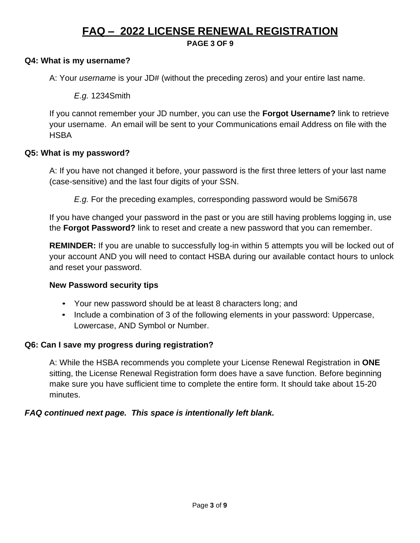**PAGE 3 OF 9**

#### **Q4: What is my username?**

A: Your *username* is your JD# (without the preceding zeros) and your entire last name.

*E.g.* 1234Smith

If you cannot remember your JD number, you can use the **Forgot Username?** link to retrieve your username. An email will be sent to your Communications email Address on file with the **HSBA** 

#### **Q5: What is my password?**

A: If you have not changed it before, your password is the first three letters of your last name (case-sensitive) and the last four digits of your SSN.

*E.g.* For the preceding examples, corresponding password would be Smi5678

If you have changed your password in the past or you are still having problems logging in, use the **Forgot Password?** link to reset and create a new password that you can remember.

**REMINDER:** If you are unable to successfully log-in within 5 attempts you will be locked out of your account AND you will need to contact HSBA during our available contact hours to unlock and reset your password.

#### **New Password security tips**

- Your new password should be at least 8 characters long; and
- Include a combination of 3 of the following elements in your password: Uppercase, Lowercase, AND Symbol or Number.

#### **Q6: Can I save my progress during registration?**

A: While the HSBA recommends you complete your License Renewal Registration in **ONE** sitting, the License Renewal Registration form does have a save function. Before beginning make sure you have sufficient time to complete the entire form. It should take about 15-20 minutes.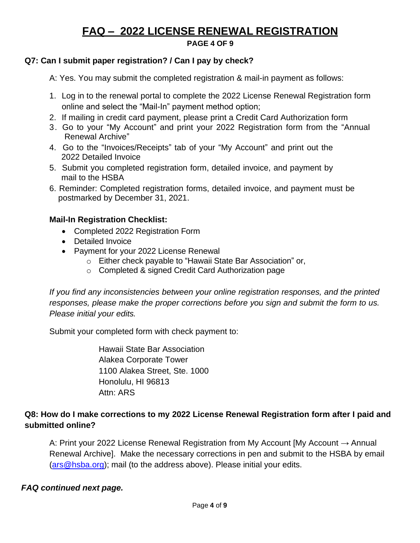**PAGE 4 OF 9**

## **Q7: Can I submit paper registration? / Can I pay by check?**

A: Yes. You may submit the completed registration & mail-in payment as follows:

- 1. Log in to the renewal portal to complete the 2022 License Renewal Registration form online and select the "Mail-In" payment method option;
- 2. If mailing in credit card payment, please print a Credit Card Authorization form
- 3. Go to your "My Account" and print your 2022 Registration form from the "Annual Renewal Archive"
- 4. Go to the "Invoices/Receipts" tab of your "My Account" and print out the 2022 Detailed Invoice
- 5. Submit you completed registration form, detailed invoice, and payment by mail to the HSBA
- 6. Reminder: Completed registration forms, detailed invoice, and payment must be postmarked by December 31, 2021.

## **Mail-In Registration Checklist:**

- Completed 2022 Registration Form
- Detailed Invoice
- Payment for your 2022 License Renewal
	- o Either check payable to "Hawaii State Bar Association" or,
	- o Completed & signed Credit Card Authorization page

*If you find any inconsistencies between your online registration responses, and the printed responses, please make the proper corrections before you sign and submit the form to us. Please initial your edits.*

Submit your completed form with check payment to:

Hawaii State Bar Association Alakea Corporate Tower 1100 Alakea Street, Ste. 1000 Honolulu, HI 96813 Attn: ARS

## **Q8: How do I make corrections to my 2022 License Renewal Registration form after I paid and submitted online?**

A: Print your 2022 License Renewal Registration from My Account [My Account  $\rightarrow$  Annual Renewal Archive]. Make the necessary corrections in pen and submit to the HSBA by email [\(ars@hsba.org\)](mailto:ars@hsba.org); mail (to the address above). Please initial your edits.

## *FAQ continued next page.*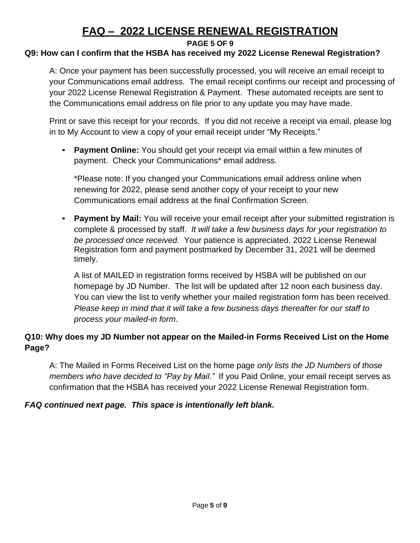#### **PAGE 5 OF 9**

### **Q9: How can I confirm that the HSBA has received my 2022 License Renewal Registration?**

A: Once your payment has been successfully processed, you will receive an email receipt to your Communications email address. The email receipt confirms our receipt and processing of your 2022 License Renewal Registration & Payment. These automated receipts are sent to the Communications email address on file prior to any update you may have made.

Print or save this receipt for your records. If you did not receive a receipt via email, please log in to My Account to view a copy of your email receipt under "My Receipts."

• **Payment Online:** You should get your receipt via email within a few minutes of payment. Check your Communications\* email address.

\*Please note: If you changed your Communications email address online when renewing for 2022, please send another copy of your receipt to your new Communications email address at the final Confirmation Screen.

• **Payment by Mail:** You will receive your email receipt after your submitted registration is complete & processed by staff. *It will take a few business days for your registration to be processed once received.* Your patience is appreciated. 2022 License Renewal Registration form and payment postmarked by December 31, 2021 will be deemed timely.

A list of MAILED in registration forms received by HSBA will be published on our homepage by JD Number. The list will be updated after 12 noon each business day. You can view the list to verify whether your mailed registration form has been received. *Please keep in mind that it will take a few business days thereafter for our staff to process your mailed-in form*.

## **Q10: Why does my JD Number not appear on the Mailed-in Forms Received List on the Home Page?**

A: The Mailed in Forms Received List on the home page *only lists the JD Numbers of those members who have decided to "Pay by Mail."* If you Paid Online, your email receipt serves as confirmation that the HSBA has received your 2022 License Renewal Registration form.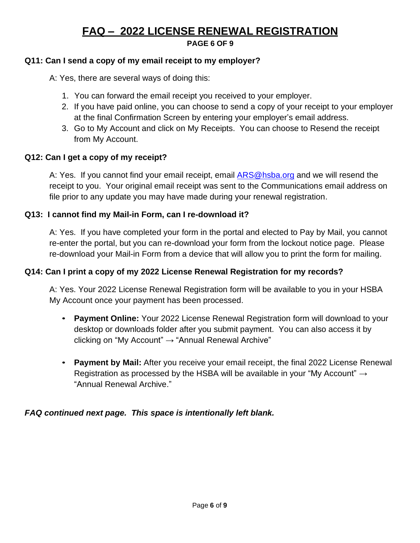#### **PAGE 6 OF 9**

## **Q11: Can I send a copy of my email receipt to my employer?**

A: Yes, there are several ways of doing this:

- 1. You can forward the email receipt you received to your employer.
- 2. If you have paid online, you can choose to send a copy of your receipt to your employer at the final Confirmation Screen by entering your employer's email address.
- 3. Go to My Account and click on My Receipts. You can choose to Resend the receipt from My Account.

## **Q12: Can I get a copy of my receipt?**

A: Yes. If you cannot find your email receipt, email [ARS@hsba.org](mailto:ARS@hsba.org) and we will resend the receipt to you. Your original email receipt was sent to the Communications email address on file prior to any update you may have made during your renewal registration.

## **Q13: I cannot find my Mail-in Form, can I re-download it?**

A: Yes. If you have completed your form in the portal and elected to Pay by Mail, you cannot re-enter the portal, but you can re-download your form from the lockout notice page. Please re-download your Mail-in Form from a device that will allow you to print the form for mailing.

## **Q14: Can I print a copy of my 2022 License Renewal Registration for my records?**

A: Yes. Your 2022 License Renewal Registration form will be available to you in your HSBA My Account once your payment has been processed.

- **Payment Online:** Your 2022 License Renewal Registration form will download to your desktop or downloads folder after you submit payment. You can also access it by clicking on "My Account" → "Annual Renewal Archive"
- **Payment by Mail:** After you receive your email receipt, the final 2022 License Renewal Registration as processed by the HSBA will be available in your "My Account"  $\rightarrow$ "Annual Renewal Archive."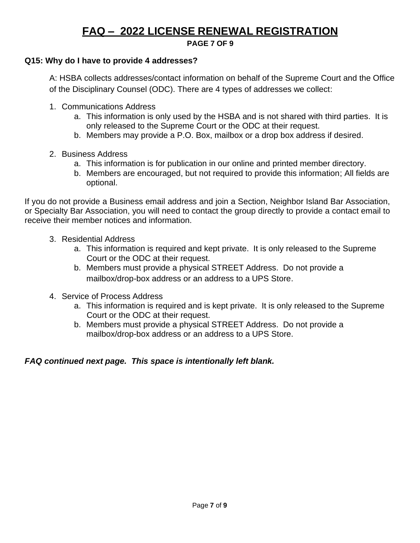#### **PAGE 7 OF 9**

### **Q15: Why do I have to provide 4 addresses?**

A: HSBA collects addresses/contact information on behalf of the Supreme Court and the Office of the Disciplinary Counsel (ODC). There are 4 types of addresses we collect:

- 1. Communications Address
	- a. This information is only used by the HSBA and is not shared with third parties. It is only released to the Supreme Court or the ODC at their request.
	- b. Members may provide a P.O. Box, mailbox or a drop box address if desired.
- 2. Business Address
	- a. This information is for publication in our online and printed member directory.
	- b. Members are encouraged, but not required to provide this information; All fields are optional.

If you do not provide a Business email address and join a Section, Neighbor Island Bar Association, or Specialty Bar Association, you will need to contact the group directly to provide a contact email to receive their member notices and information.

- 3. Residential Address
	- a. This information is required and kept private. It is only released to the Supreme Court or the ODC at their request.
	- b. Members must provide a physical STREET Address. Do not provide a mailbox/drop-box address or an address to a UPS Store.
- 4. Service of Process Address
	- a. This information is required and is kept private. It is only released to the Supreme Court or the ODC at their request.
	- b. Members must provide a physical STREET Address. Do not provide a mailbox/drop-box address or an address to a UPS Store.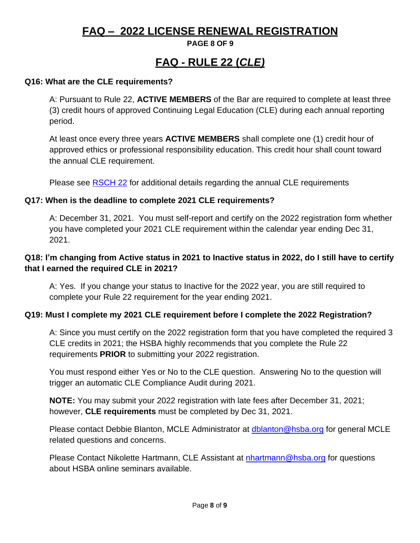### **PAGE 8 OF 9**

# **FAQ - RULE 22 (***CLE)*

### **Q16: What are the CLE requirements?**

A: Pursuant to Rule 22, **ACTIVE MEMBERS** of the Bar are required to complete at least three (3) credit hours of approved Continuing Legal Education (CLE) during each annual reporting period.

At least once every three years **ACTIVE MEMBERS** shall complete one (1) credit hour of approved ethics or professional responsibility education. This credit hour shall count toward the annual CLE requirement.

Please see [RSCH 22](https://hsba.org/images/hsba/MCLE/2015/Rule%2022.pdf) for additional details regarding the annual CLE requirements

#### **Q17: When is the deadline to complete 2021 CLE requirements?**

A: December 31, 2021. You must self-report and certify on the 2022 registration form whether you have completed your 2021 CLE requirement within the calendar year ending Dec 31, 2021.

### **Q18: I'm changing from Active status in 2021 to Inactive status in 2022, do I still have to certify that I earned the required CLE in 2021?**

A: Yes. If you change your status to Inactive for the 2022 year, you are still required to complete your Rule 22 requirement for the year ending 2021.

### **Q19: Must I complete my 2021 CLE requirement before I complete the 2022 Registration?**

A: Since you must certify on the 2022 registration form that you have completed the required 3 CLE credits in 2021; the HSBA highly recommends that you complete the Rule 22 requirements **PRIOR** to submitting your 2022 registration.

You must respond either Yes or No to the CLE question. Answering No to the question will trigger an automatic CLE Compliance Audit during 2021.

**NOTE:** You may submit your 2022 registration with late fees after December 31, 2021; however, **CLE requirements** must be completed by Dec 31, 2021.

Please contact Debbie Blanton, MCLE Administrator at [dblanton@hsba.org](mailto:dblanton@hsba.org) for general MCLE related questions and concerns.

Please Contact Nikolette Hartmann, CLE Assistant at [nhartmann@hsba.org](mailto:nhartmann@hsba.org) for questions about HSBA online seminars available.